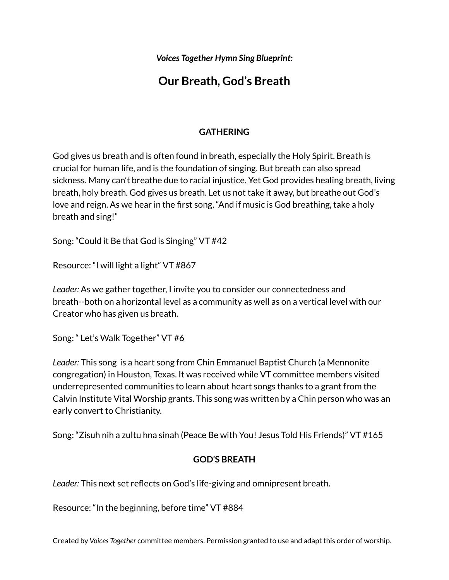*Voices Together Hymn Sing Blueprint:*

# **Our Breath, God's Breath**

## **GATHERING**

God gives us breath and is often found in breath, especially the Holy Spirit. Breath is crucial for human life, and is the foundation of singing. But breath can also spread sickness. Many can't breathe due to racial injustice. Yet God provides healing breath, living breath, holy breath. God gives us breath. Let us not take it away, but breathe out God's love and reign. As we hear in the first song, "And if music is God breathing, take a holy breath and sing!"

Song: "Could it Be that God is Singing" VT #42

Resource: "I will light a light" VT #867

*Leader:* As we gather together, I invite you to consider our connectedness and breath--both on a horizontal level as a community as well as on a vertical level with our Creator who has given us breath.

Song: " Let's Walk Together" VT #6

*Leader:* This song is a heart song from Chin Emmanuel Baptist Church (a Mennonite congregation) in Houston, Texas. It was received while VT committee members visited underrepresented communities to learn about heart songs thanks to a grant from the Calvin Institute Vital Worship grants. This song was written by a Chin person who was an early convert to Christianity.

Song: "Zisuh nih a zultu hna sinah (Peace Be with You! Jesus Told His Friends)" VT #165

### **GOD'S BREATH**

*Leader:* This next set reflects on God's life-giving and omnipresent breath.

Resource: "In the beginning, before time" VT #884

Created by *Voices Together* committee members. Permission granted to use and adapt this order of worship.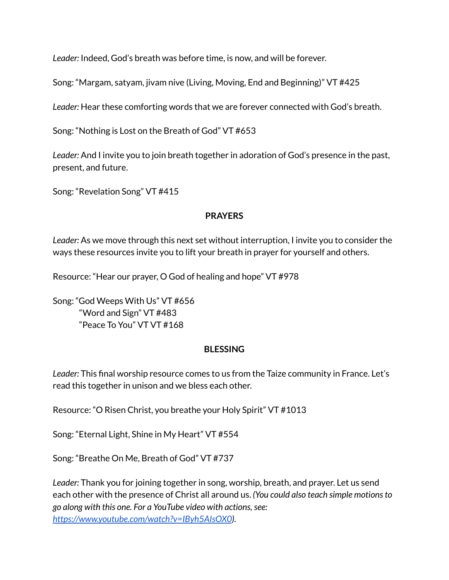*Leader:* Indeed, God's breath was before time, is now, and will be forever.

Song: "Margam, satyam, jivam nive (Living, Moving, End and Beginning)" VT #425

*Leader:* Hear these comforting words that we are forever connected with God's breath.

Song: "Nothing is Lost on the Breath of God" VT #653

*Leader:* And I invite you to join breath together in adoration of God's presence in the past, present, and future.

Song: "Revelation Song" VT #415

### **PRAYERS**

*Leader:* As we move through this next set without interruption, I invite you to consider the ways these resources invite you to lift your breath in prayer for yourself and others.

Resource: "Hear our prayer, O God of healing and hope" VT #978

Song: "God Weeps With Us" VT #656 "Word and Sign" VT #483 "Peace To You" VT VT #168

### **BLESSING**

*Leader:* This final worship resource comes to us from the Taize community in France. Let's read this together in unison and we bless each other.

Resource: "O Risen Christ, you breathe your Holy Spirit" VT #1013

Song: "Eternal Light, Shine in My Heart" VT #554

Song: "Breathe On Me, Breath of God" VT #737

*Leader:* Thank you for joining together in song, worship, breath, and prayer. Let us send each other with the presence of Christ all around us. *(You could also teach simple motionsto go along with this one. For a YouTube video with actions,see: <https://www.youtube.com/watch?v=IByh5AIsOX0>).*